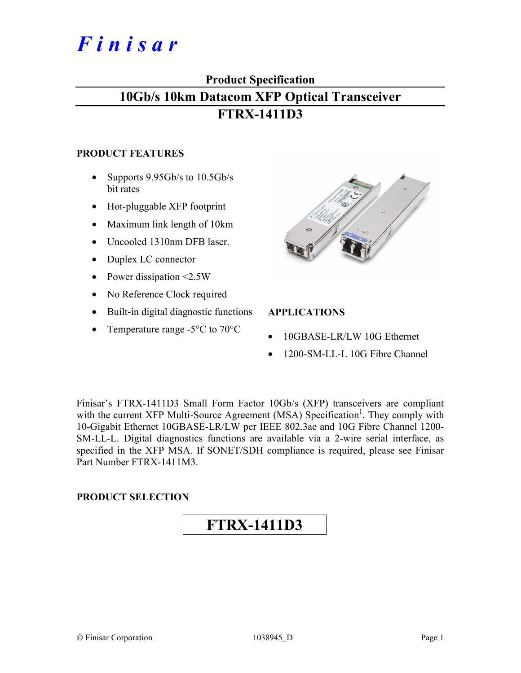# *F i n i s a r*

## **Product Specification**

## **10Gb/s 10km Datacom XFP Optical Transceiver FTRX-1411D3**

### **PRODUCT FEATURES**

- Supports 9.95Gb/s to 10.5Gb/s bit rates
- Hot-pluggable XFP footprint
- Maximum link length of 10km
- Uncooled 1310nm DFB laser.
- Duplex LC connector
- Power dissipation <2.5W
- No Reference Clock required
- Built-in digital diagnostic functions
- Temperature range -5<sup>o</sup>C to 70<sup>o</sup>C



## **APPLICATIONS**

- 10GBASE-LR/LW 10G Ethernet
- 1200-SM-LL-L 10G Fibre Channel

Finisar's FTRX-1411D3 Small Form Factor 10Gb/s (XFP) transceivers are compliant with the current XFP Multi-Source Agreement (MSA) Specification<sup>1</sup>. They comply with 10-Gigabit Ethernet 10GBASE-LR/LW per IEEE 802.3ae and 10G Fibre Channel 1200- SM-LL-L. Digital diagnostics functions are available via a 2-wire serial interface, as specified in the XFP MSA. If SONET/SDH compliance is required, please see Finisar Part Number FTRX-1411M3.

## **PRODUCT SELECTION**

## **FTRX-1411D3**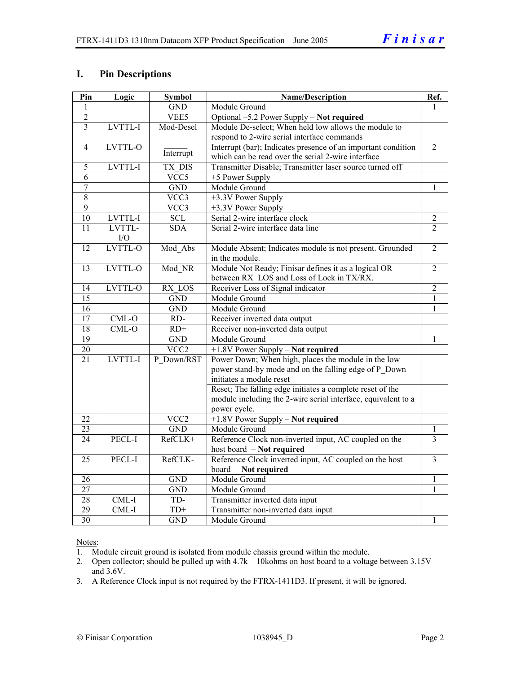## **I. Pin Descriptions**

| Pin              | Logic   | <b>Symbol</b>     | Name/Description                                              | Ref.           |
|------------------|---------|-------------------|---------------------------------------------------------------|----------------|
| 1                |         | <b>GND</b>        | Module Ground                                                 |                |
| $\overline{2}$   |         | VEE5              | Optional -5.2 Power Supply - Not required                     |                |
| $\overline{3}$   | LVTTL-I | Mod-Desel         | Module De-select; When held low allows the module to          |                |
|                  |         |                   | respond to 2-wire serial interface commands                   |                |
| $\overline{4}$   | LVTTL-O |                   | Interrupt (bar); Indicates presence of an important condition | $\overline{2}$ |
|                  |         | Interrupt         | which can be read over the serial 2-wire interface            |                |
| 5                | LVTTL-I | <b>TX DIS</b>     | Transmitter Disable; Transmitter laser source turned off      |                |
| 6                |         | VCC5              | +5 Power Supply                                               |                |
| $\boldsymbol{7}$ |         | <b>GND</b>        | Module Ground                                                 | 1              |
| 8                |         | VCC3              | +3.3V Power Supply                                            |                |
| $\overline{9}$   |         | VCC3              | +3.3V Power Supply                                            |                |
| $\overline{10}$  | LVTTL-I | $\overline{SCL}$  | Serial 2-wire interface clock                                 | $\overline{2}$ |
| 11               | LVTTL-  | <b>SDA</b>        | Serial 2-wire interface data line                             | $\overline{2}$ |
|                  | I/O     |                   |                                                               |                |
| 12               | LVTTL-O | Mod_Abs           | Module Absent; Indicates module is not present. Grounded      | $\overline{2}$ |
|                  |         |                   | in the module.                                                |                |
| 13               | LVTTL-O | Mod NR            | Module Not Ready; Finisar defines it as a logical OR          | $\overline{2}$ |
|                  |         |                   | between RX LOS and Loss of Lock in TX/RX.                     |                |
| 14               | LVTTL-O | RX LOS            | Receiver Loss of Signal indicator                             | $\overline{2}$ |
| $\overline{15}$  |         | <b>GND</b>        | Module Ground                                                 | $\mathbf{1}$   |
| $\overline{16}$  |         | <b>GND</b>        | Module Ground                                                 | $\mathbf{1}$   |
| 17               | $CML-O$ | RD-               | Receiver inverted data output                                 |                |
| $\overline{18}$  | $CML-O$ | $RD+$             | Receiver non-inverted data output                             |                |
| 19               |         | <b>GND</b>        | Module Ground                                                 | $\mathbf{1}$   |
| 20               |         | $\overline{VCC2}$ | +1.8V Power Supply - Not required                             |                |
| $\overline{21}$  | LVTTL-I | P Down/RST        | Power Down; When high, places the module in the low           |                |
|                  |         |                   | power stand-by mode and on the falling edge of P Down         |                |
|                  |         |                   | initiates a module reset                                      |                |
|                  |         |                   | Reset; The falling edge initiates a complete reset of the     |                |
|                  |         |                   | module including the 2-wire serial interface, equivalent to a |                |
|                  |         |                   | power cycle.                                                  |                |
| 22               |         | VCC <sub>2</sub>  | +1.8V Power Supply - Not required                             |                |
| 23               |         | <b>GND</b>        | Module Ground                                                 | $\mathbf{1}$   |
| $\overline{24}$  | PECL-I  | RefCLK+           | Reference Clock non-inverted input, AC coupled on the         | $\overline{3}$ |
|                  |         |                   | host board - Not required                                     |                |
| 25               | PECL-I  | RefCLK-           | Reference Clock inverted input, AC coupled on the host        | $\overline{3}$ |
|                  |         |                   | board - Not required                                          |                |
| 26               |         | <b>GND</b>        | Module Ground                                                 | 1              |
| $\overline{27}$  |         | GND               | Module Ground                                                 | $\mathbf{1}$   |
| 28               | CML-I   | TD-               | Transmitter inverted data input                               |                |
| $\overline{29}$  | CML-I   | $TD+$             | Transmitter non-inverted data input                           |                |
| $\overline{30}$  |         | <b>GND</b>        | Module Ground                                                 | 1              |

Notes:

1. Module circuit ground is isolated from module chassis ground within the module.

2. Open collector; should be pulled up with 4.7k – 10kohms on host board to a voltage between 3.15V and 3.6V.

3. A Reference Clock input is not required by the FTRX-1411D3. If present, it will be ignored.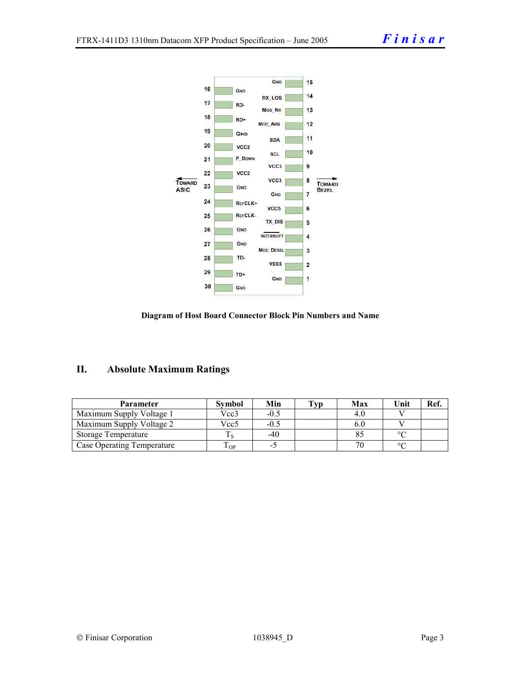



## **II. Absolute Maximum Ratings**

| <b>Parameter</b>                  | <b>Symbol</b> | Min    | Tvp | Max | Unit    | Ref. |
|-----------------------------------|---------------|--------|-----|-----|---------|------|
| Maximum Supply Voltage 1          | Vcc3          | $-0.5$ |     |     |         |      |
| Maximum Supply Voltage 2          | Vcc5          | $-0.5$ |     |     |         |      |
| <b>Storage Temperature</b>        |               | -40    |     |     | $\circ$ |      |
| <b>Case Operating Temperature</b> | OP.           | - 1    |     |     | $\circ$ |      |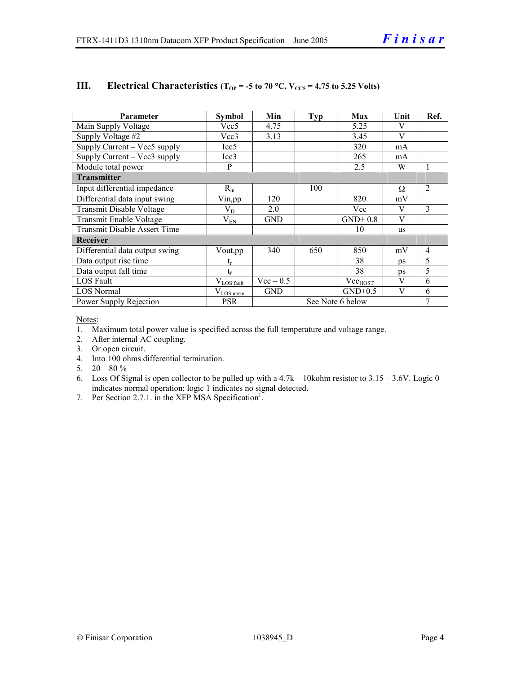| Parameter                                        | <b>Symbol</b>           | Min         | Typ | Max              | Unit | Ref.           |
|--------------------------------------------------|-------------------------|-------------|-----|------------------|------|----------------|
| Main Supply Voltage                              | Vcc5                    | 4.75        |     | 5.25             | V    |                |
| Supply Voltage #2                                | Vcc3                    | 3.13        |     | 3.45             | V    |                |
| $\overline{\text{Supply}}$ Current – Vcc5 supply | Icc <sub>5</sub>        |             |     | 320              | mA   |                |
| Supply Current – Vcc3 supply                     | Icc3                    |             |     | 265              | mA   |                |
| Module total power                               | P                       |             |     | 2.5              | W    |                |
| <b>Transmitter</b>                               |                         |             |     |                  |      |                |
| Input differential impedance                     | $R_{in}$                |             | 100 |                  | Ω    | $\overline{2}$ |
| Differential data input swing                    | Vin,pp                  | 120         |     | 820              | mV   |                |
| Transmit Disable Voltage                         | $\rm V_{D}$             | 2.0         |     | Vcc              | V    | 3              |
| Transmit Enable Voltage                          | $V_{EN}$                | <b>GND</b>  |     | $GND+0.8$        | V    |                |
| <b>Transmit Disable Assert Time</b>              |                         |             |     | 10               | us   |                |
| Receiver                                         |                         |             |     |                  |      |                |
| Differential data output swing                   | Vout,pp                 | 340         | 650 | 850              | mV   | $\overline{4}$ |
| Data output rise time                            | t,                      |             |     | 38               | ps   | 5              |
| Data output fall time                            | $t_f$                   |             |     | 38               | ps   | 5              |
| <b>LOS Fault</b>                                 | $V_{LOS \frac{fault}{}$ | $Vec - 0.5$ |     | $Vec_{HOST}$     | V    | 6              |
| <b>LOS</b> Normal                                | $V_{LOS\,norm}$         | <b>GND</b>  |     | $GND+0.5$        | V    | 6              |
| Power Supply Rejection                           | <b>PSR</b>              |             |     | See Note 6 below |      | 7              |

## **III.** Electrical Characteristics ( $T_{OP}$  = -5 to 70 °C,  $V_{CC5}$  = 4.75 to 5.25 Volts)

Notes:

- 1. Maximum total power value is specified across the full temperature and voltage range.
- 2. After internal AC coupling.
- 3. Or open circuit.
- 4. Into 100 ohms differential termination.
- 5.  $20 80 \%$
- 6. Loss Of Signal is open collector to be pulled up with a 4.7k 10kohm resistor to 3.15 3.6V. Logic 0 indicates normal operation; logic 1 indicates no signal detected.
- 7. Per Section 2.7.1. in the XFP MSA Specification<sup>1</sup>.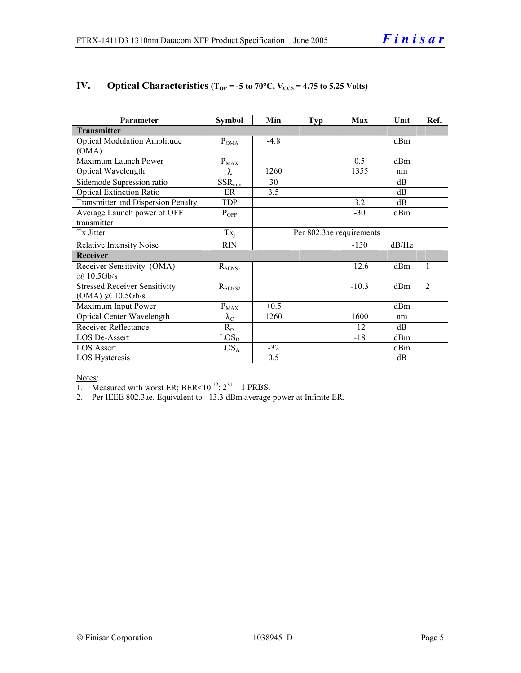| Parameter                                 | <b>Symbol</b>        | Min    | Typ | <b>Max</b>               | Unit  | Ref.         |
|-------------------------------------------|----------------------|--------|-----|--------------------------|-------|--------------|
| <b>Transmitter</b>                        |                      |        |     |                          |       |              |
| <b>Optical Modulation Amplitude</b>       | $P_{OMA}$            | $-4.8$ |     |                          | dBm   |              |
| (OMA)                                     |                      |        |     |                          |       |              |
| Maximum Launch Power                      | $P_{MAX}$            |        |     | 0.5                      | dBm   |              |
| Optical Wavelength                        | λ                    | 1260   |     | 1355                     | nm    |              |
| Sidemode Supression ratio                 | $SSR_{min}$          | 30     |     |                          | dB    |              |
| <b>Optical Extinction Ratio</b>           | ER                   | 3.5    |     |                          | dB    |              |
| <b>Transmitter and Dispersion Penalty</b> | <b>TDP</b>           |        |     | 3.2                      | dB    |              |
| Average Launch power of OFF               | $P_{OFF}$            |        |     | $-30$                    | dBm   |              |
| transmitter                               |                      |        |     |                          |       |              |
| Tx Jitter                                 | $Tx_i$               |        |     | Per 802.3ae requirements |       |              |
| <b>Relative Intensity Noise</b>           | <b>RIN</b>           |        |     | $-130$                   | dB/Hz |              |
| Receiver                                  |                      |        |     |                          |       |              |
| Receiver Sensitivity (OMA)                | $R_{SENS1}$          |        |     | $-12.6$                  | dBm   | $\mathbf{1}$ |
| $(a)$ 10.5Gb/s                            |                      |        |     |                          |       |              |
| <b>Stressed Receiver Sensitivity</b>      | $R_{\text{SENS2}}$   |        |     | $-10.3$                  | dBm   | 2            |
| $(OMA)$ @ 10.5Gb/s                        |                      |        |     |                          |       |              |
| Maximum Input Power                       | $P_{MAX}$            | $+0.5$ |     |                          | dBm   |              |
| <b>Optical Center Wavelength</b>          | $\lambda_{\rm C}$    | 1260   |     | 1600                     | nm    |              |
| <b>Receiver Reflectance</b>               | $R_{\underline{rx}}$ |        |     | $-12$                    | dB    |              |
| <b>LOS De-Assert</b>                      | LOS <sub>D</sub>     |        |     | $-18$                    | dBm   |              |
| <b>LOS Assert</b>                         | LOS <sub>A</sub>     | $-32$  |     |                          | dBm   |              |
| LOS Hysteresis                            |                      | 0.5    |     |                          | dB    |              |

## **IV.** Optical Characteristics ( $T_{OP}$  = -5 to 70°C,  $V_{CC5}$  = 4.75 to 5.25 Volts)

#### Notes:

1. Measured with worst ER; BER<10<sup>-12</sup>;  $2^{31} - 1$  PRBS.

2. Per IEEE 802.3ae. Equivalent to –13.3 dBm average power at Infinite ER.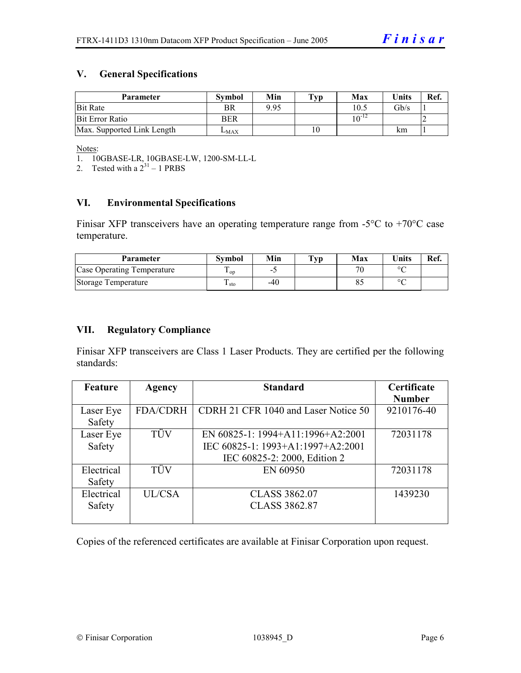## **V. General Specifications**

| <b>Parameter</b>           | <b>Symbol</b> | Min  | $\mathbf{T}_{\mathbf{V}\mathbf{p}}$ | Max        | <b>Units</b>    | Ref. |
|----------------------------|---------------|------|-------------------------------------|------------|-----------------|------|
| <b>Bit Rate</b>            | BR            | 9.95 |                                     | 10.5       | $\mathrm{Gb/s}$ |      |
| <b>Bit Error Ratio</b>     | BER           |      |                                     | $10^{-12}$ |                 |      |
| Max. Supported Link Length | $L_{MAX}$     |      |                                     |            | km              |      |

Notes:

2. Tested with a  $2^{31} - 1$  PRBS

## **VI. Environmental Specifications**

Finisar XFP transceivers have an operating temperature range from  $-5^{\circ}C$  to  $+70^{\circ}C$  case temperature.

| Parameter                  | Svmbol     | Min    | $\mathbf{T}_{\mathbf{V}\mathbf{p}}$ | Max | <b>Units</b> | Ref. |
|----------------------------|------------|--------|-------------------------------------|-----|--------------|------|
| Case Operating Temperature | $\cdot$ op | $\sim$ |                                     |     | $\circ$      |      |
| Storage Temperature        | ᠇<br>⊥ sto | -40    |                                     |     | $\circ$      |      |

### **VII. Regulatory Compliance**

Finisar XFP transceivers are Class 1 Laser Products. They are certified per the following standards:

| <b>Feature</b> | Agency          | <b>Standard</b>                      | Certificate   |
|----------------|-----------------|--------------------------------------|---------------|
|                |                 |                                      | <b>Number</b> |
| Laser Eye      | <b>FDA/CDRH</b> | CDRH 21 CFR 1040 and Laser Notice 50 | 9210176-40    |
| Safety         |                 |                                      |               |
| Laser Eye      | <b>TÜV</b>      | EN 60825-1: 1994+A11:1996+A2:2001    | 72031178      |
| Safety         |                 | IEC 60825-1: 1993+A1:1997+A2:2001    |               |
|                |                 | IEC 60825-2: 2000, Edition 2         |               |
| Electrical     | <b>TÜV</b>      | EN 60950                             | 72031178      |
| Safety         |                 |                                      |               |
| Electrical     | UL/CSA          | <b>CLASS 3862.07</b>                 | 1439230       |
| Safety         |                 | <b>CLASS 3862.87</b>                 |               |
|                |                 |                                      |               |

Copies of the referenced certificates are available at Finisar Corporation upon request.

<sup>1.</sup> 10GBASE-LR, 10GBASE-LW, 1200-SM-LL-L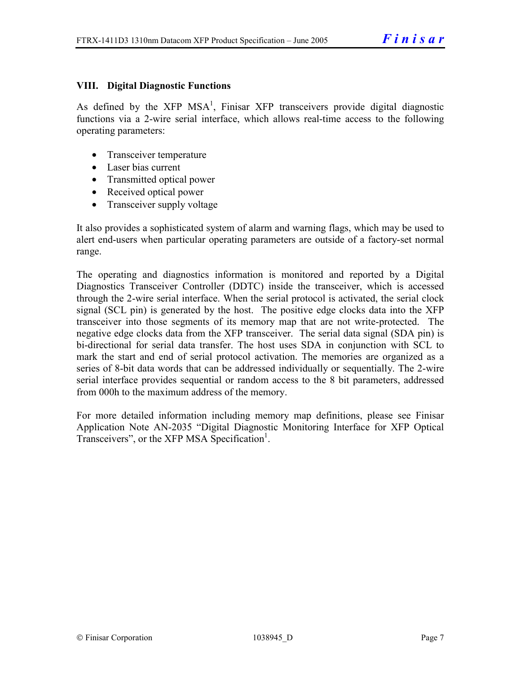## **VIII. Digital Diagnostic Functions**

As defined by the  $XFP$  MSA<sup>1</sup>, Finisar  $XFP$  transceivers provide digital diagnostic functions via a 2-wire serial interface, which allows real-time access to the following operating parameters:

- Transceiver temperature
- Laser bias current
- Transmitted optical power
- Received optical power
- Transceiver supply voltage

It also provides a sophisticated system of alarm and warning flags, which may be used to alert end-users when particular operating parameters are outside of a factory-set normal range.

The operating and diagnostics information is monitored and reported by a Digital Diagnostics Transceiver Controller (DDTC) inside the transceiver, which is accessed through the 2-wire serial interface. When the serial protocol is activated, the serial clock signal (SCL pin) is generated by the host. The positive edge clocks data into the XFP transceiver into those segments of its memory map that are not write-protected. The negative edge clocks data from the XFP transceiver. The serial data signal (SDA pin) is bi-directional for serial data transfer. The host uses SDA in conjunction with SCL to mark the start and end of serial protocol activation. The memories are organized as a series of 8-bit data words that can be addressed individually or sequentially. The 2-wire serial interface provides sequential or random access to the 8 bit parameters, addressed from 000h to the maximum address of the memory.

For more detailed information including memory map definitions, please see Finisar Application Note AN-2035 "Digital Diagnostic Monitoring Interface for XFP Optical Transceivers", or the XFP MSA Specification<sup>1</sup>.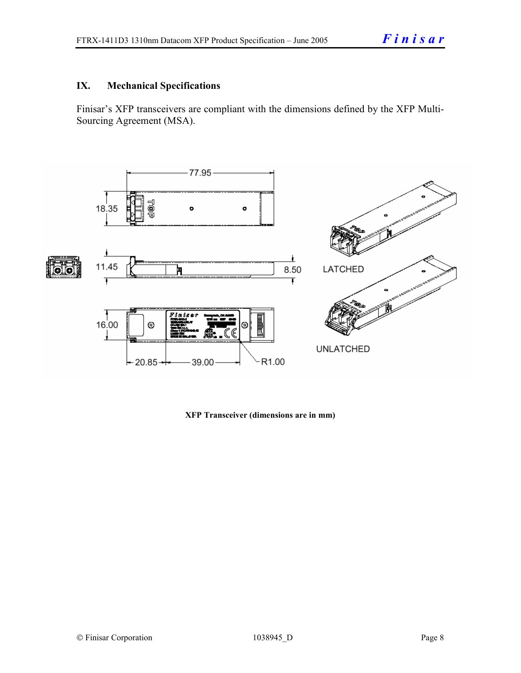## **IX. Mechanical Specifications**

Finisar's XFP transceivers are compliant with the dimensions defined by the XFP Multi-Sourcing Agreement (MSA).



**XFP Transceiver (dimensions are in mm)**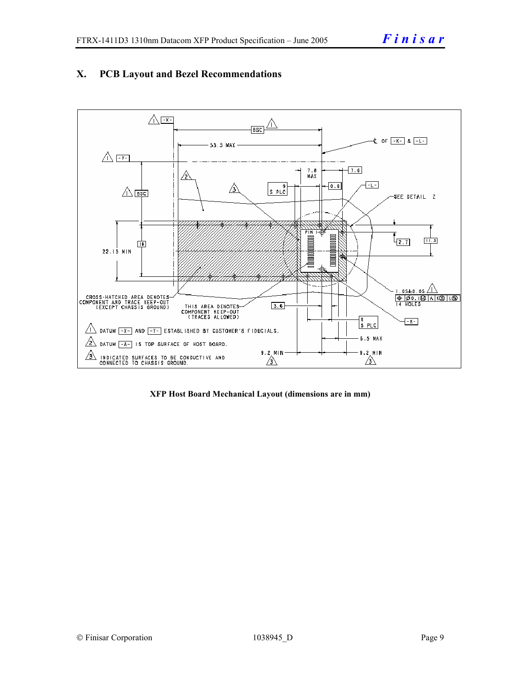

## **X. PCB Layout and Bezel Recommendations**

**XFP Host Board Mechanical Layout (dimensions are in mm)**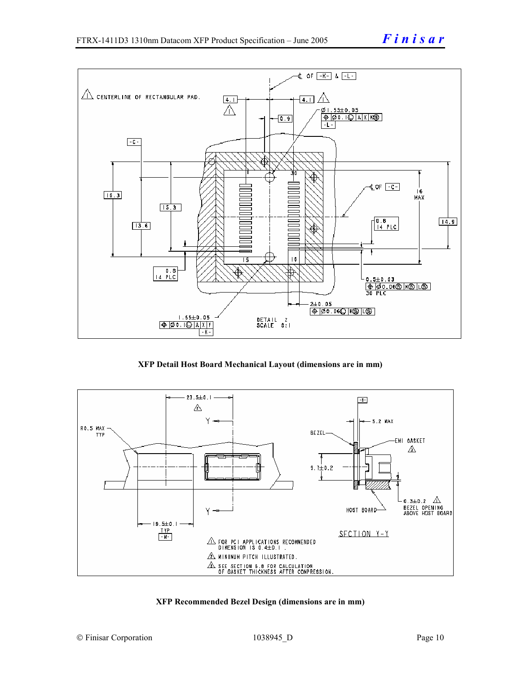

**XFP Detail Host Board Mechanical Layout (dimensions are in mm)** 



#### **XFP Recommended Bezel Design (dimensions are in mm)**